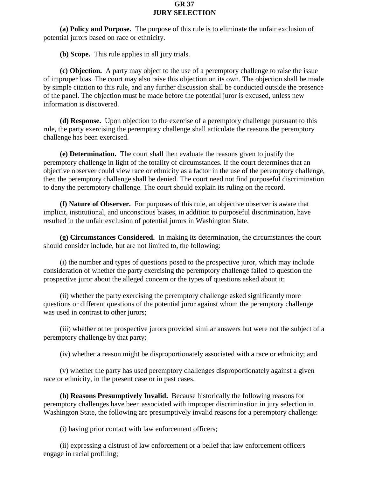## **GR 37 JURY SELECTION**

**(a) Policy and Purpose.** The purpose of this rule is to eliminate the unfair exclusion of potential jurors based on race or ethnicity.

**(b) Scope.** This rule applies in all jury trials.

**(c) Objection.** A party may object to the use of a peremptory challenge to raise the issue of improper bias. The court may also raise this objection on its own. The objection shall be made by simple citation to this rule, and any further discussion shall be conducted outside the presence of the panel. The objection must be made before the potential juror is excused, unless new information is discovered.

**(d) Response.** Upon objection to the exercise of a peremptory challenge pursuant to this rule, the party exercising the peremptory challenge shall articulate the reasons the peremptory challenge has been exercised.

**(e) Determination.** The court shall then evaluate the reasons given to justify the peremptory challenge in light of the totality of circumstances. If the court determines that an objective observer could view race or ethnicity as a factor in the use of the peremptory challenge, then the peremptory challenge shall be denied. The court need not find purposeful discrimination to deny the peremptory challenge. The court should explain its ruling on the record.

**(f) Nature of Observer.** For purposes of this rule, an objective observer is aware that implicit, institutional, and unconscious biases, in addition to purposeful discrimination, have resulted in the unfair exclusion of potential jurors in Washington State.

**(g) Circumstances Considered.** In making its determination, the circumstances the court should consider include, but are not limited to, the following:

(i) the number and types of questions posed to the prospective juror, which may include consideration of whether the party exercising the peremptory challenge failed to question the prospective juror about the alleged concern or the types of questions asked about it;

(ii) whether the party exercising the peremptory challenge asked significantly more questions or different questions of the potential juror against whom the peremptory challenge was used in contrast to other jurors;

(iii) whether other prospective jurors provided similar answers but were not the subject of a peremptory challenge by that party;

(iv) whether a reason might be disproportionately associated with a race or ethnicity; and

(v) whether the party has used peremptory challenges disproportionately against a given race or ethnicity, in the present case or in past cases.

**(h) Reasons Presumptively Invalid.** Because historically the following reasons for peremptory challenges have been associated with improper discrimination in jury selection in Washington State, the following are presumptively invalid reasons for a peremptory challenge:

(i) having prior contact with law enforcement officers;

(ii) expressing a distrust of law enforcement or a belief that law enforcement officers engage in racial profiling;